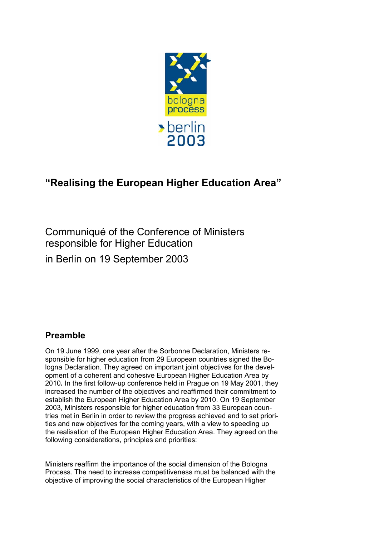

# **"Realising the European Higher Education Area"**

Communiqué of the Conference of Ministers responsible for Higher Education in Berlin on 19 September 2003

## **Preamble**

On 19 June 1999, one year after the Sorbonne Declaration, Ministers responsible for higher education from 29 European countries signed the Bologna Declaration. They agreed on important joint objectives for the development of a coherent and cohesive European Higher Education Area by 2010**.** In the first follow-up conference held in Prague on 19 May 2001, they increased the number of the objectives and reaffirmed their commitment to establish the European Higher Education Area by 2010. On 19 September 2003, Ministers responsible for higher education from 33 European countries met in Berlin in order to review the progress achieved and to set priorities and new objectives for the coming years, with a view to speeding up the realisation of the European Higher Education Area. They agreed on the following considerations, principles and priorities:

Ministers reaffirm the importance of the social dimension of the Bologna Process. The need to increase competitiveness must be balanced with the objective of improving the social characteristics of the European Higher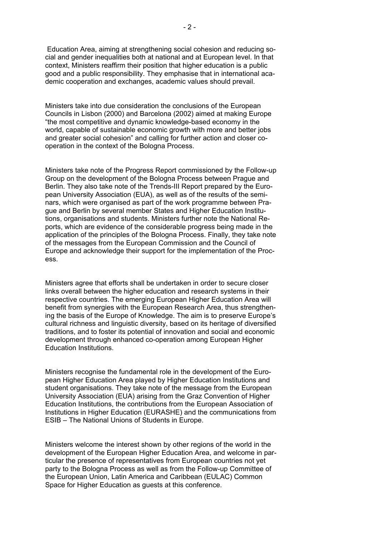Education Area, aiming at strengthening social cohesion and reducing social and gender inequalities both at national and at European level. In that context, Ministers reaffirm their position that higher education is a public good and a public responsibility. They emphasise that in international academic cooperation and exchanges, academic values should prevail.

Ministers take into due consideration the conclusions of the European Councils in Lisbon (2000) and Barcelona (2002) aimed at making Europe "the most competitive and dynamic knowledge-based economy in the world, capable of sustainable economic growth with more and better jobs and greater social cohesion" and calling for further action and closer cooperation in the context of the Bologna Process.

Ministers take note of the Progress Report commissioned by the Follow-up Group on the development of the Bologna Process between Prague and Berlin. They also take note of the Trends-III Report prepared by the European University Association (EUA), as well as of the results of the seminars, which were organised as part of the work programme between Prague and Berlin by several member States and Higher Education Institutions, organisations and students. Ministers further note the National Reports, which are evidence of the considerable progress being made in the application of the principles of the Bologna Process. Finally, they take note of the messages from the European Commission and the Council of Europe and acknowledge their support for the implementation of the Process.

Ministers agree that efforts shall be undertaken in order to secure closer links overall between the higher education and research systems in their respective countries. The emerging European Higher Education Area will benefit from synergies with the European Research Area, thus strengthening the basis of the Europe of Knowledge. The aim is to preserve Europe's cultural richness and linguistic diversity, based on its heritage of diversified traditions, and to foster its potential of innovation and social and economic development through enhanced co-operation among European Higher Education Institutions.

Ministers recognise the fundamental role in the development of the European Higher Education Area played by Higher Education Institutions and student organisations. They take note of the message from the European University Association (EUA) arising from the Graz Convention of Higher Education Institutions, the contributions from the European Association of Institutions in Higher Education (EURASHE) and the communications from ESIB – The National Unions of Students in Europe.

Ministers welcome the interest shown by other regions of the world in the development of the European Higher Education Area, and welcome in particular the presence of representatives from European countries not yet party to the Bologna Process as well as from the Follow-up Committee of the European Union, Latin America and Caribbean (EULAC) Common Space for Higher Education as guests at this conference.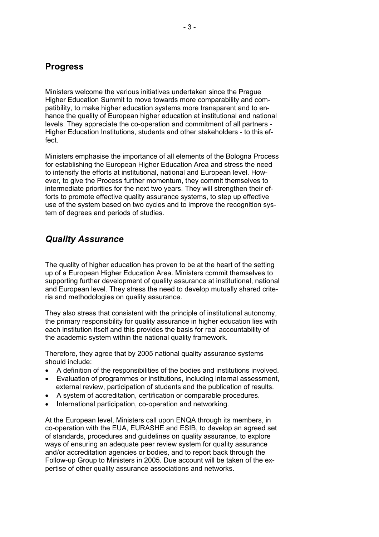#### **Progress**

Ministers welcome the various initiatives undertaken since the Prague Higher Education Summit to move towards more comparability and compatibility, to make higher education systems more transparent and to enhance the quality of European higher education at institutional and national levels. They appreciate the co-operation and commitment of all partners - Higher Education Institutions, students and other stakeholders - to this effect.

Ministers emphasise the importance of all elements of the Bologna Process for establishing the European Higher Education Area and stress the need to intensify the efforts at institutional, national and European level. However, to give the Process further momentum, they commit themselves to intermediate priorities for the next two years. They will strengthen their efforts to promote effective quality assurance systems, to step up effective use of the system based on two cycles and to improve the recognition system of degrees and periods of studies.

## *Quality Assurance*

The quality of higher education has proven to be at the heart of the setting up of a European Higher Education Area. Ministers commit themselves to supporting further development of quality assurance at institutional, national and European level. They stress the need to develop mutually shared criteria and methodologies on quality assurance.

They also stress that consistent with the principle of institutional autonomy, the primary responsibility for quality assurance in higher education lies with each institution itself and this provides the basis for real accountability of the academic system within the national quality framework.

Therefore, they agree that by 2005 national quality assurance systems should include:

- A definition of the responsibilities of the bodies and institutions involved.
- Evaluation of programmes or institutions, including internal assessment, external review, participation of students and the publication of results.
- A system of accreditation, certification or comparable procedures.
- International participation, co-operation and networking.

At the European level, Ministers call upon ENQA through its members, in co-operation with the EUA, EURASHE and ESIB, to develop an agreed set of standards, procedures and guidelines on quality assurance, to explore ways of ensuring an adequate peer review system for quality assurance and/or accreditation agencies or bodies, and to report back through the Follow-up Group to Ministers in 2005. Due account will be taken of the expertise of other quality assurance associations and networks.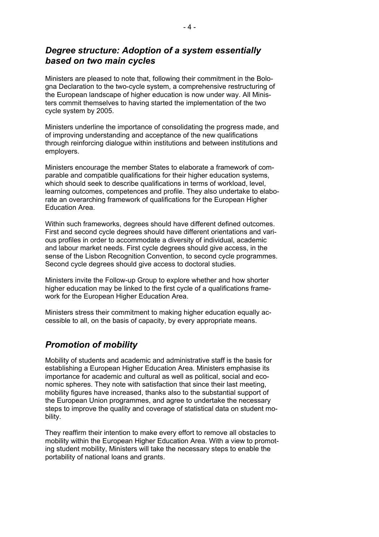#### *Degree structure: Adoption of a system essentially based on two main cycles*

Ministers are pleased to note that, following their commitment in the Bologna Declaration to the two-cycle system, a comprehensive restructuring of the European landscape of higher education is now under way. All Ministers commit themselves to having started the implementation of the two cycle system by 2005.

Ministers underline the importance of consolidating the progress made, and of improving understanding and acceptance of the new qualifications through reinforcing dialogue within institutions and between institutions and employers.

Ministers encourage the member States to elaborate a framework of comparable and compatible qualifications for their higher education systems, which should seek to describe qualifications in terms of workload, level, learning outcomes, competences and profile. They also undertake to elaborate an overarching framework of qualifications for the European Higher Education Area.

Within such frameworks, degrees should have different defined outcomes. First and second cycle degrees should have different orientations and various profiles in order to accommodate a diversity of individual, academic and labour market needs. First cycle degrees should give access, in the sense of the Lisbon Recognition Convention, to second cycle programmes. Second cycle degrees should give access to doctoral studies.

Ministers invite the Follow-up Group to explore whether and how shorter higher education may be linked to the first cycle of a qualifications framework for the European Higher Education Area.

Ministers stress their commitment to making higher education equally accessible to all, on the basis of capacity, by every appropriate means.

#### *Promotion of mobility*

Mobility of students and academic and administrative staff is the basis for establishing a European Higher Education Area. Ministers emphasise its importance for academic and cultural as well as political, social and economic spheres. They note with satisfaction that since their last meeting, mobility figures have increased, thanks also to the substantial support of the European Union programmes, and agree to undertake the necessary steps to improve the quality and coverage of statistical data on student mobility.

They reaffirm their intention to make every effort to remove all obstacles to mobility within the European Higher Education Area. With a view to promoting student mobility, Ministers will take the necessary steps to enable the portability of national loans and grants.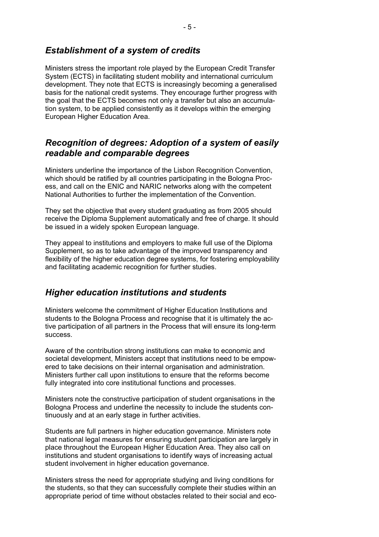#### *Establishment of a system of credits*

Ministers stress the important role played by the European Credit Transfer System (ECTS) in facilitating student mobility and international curriculum development. They note that ECTS is increasingly becoming a generalised basis for the national credit systems. They encourage further progress with the goal that the ECTS becomes not only a transfer but also an accumulation system, to be applied consistently as it develops within the emerging European Higher Education Area.

#### *Recognition of degrees: Adoption of a system of easily readable and comparable degrees*

Ministers underline the importance of the Lisbon Recognition Convention, which should be ratified by all countries participating in the Bologna Process, and call on the ENIC and NARIC networks along with the competent National Authorities to further the implementation of the Convention.

They set the objective that every student graduating as from 2005 should receive the Diploma Supplement automatically and free of charge. It should be issued in a widely spoken European language.

They appeal to institutions and employers to make full use of the Diploma Supplement, so as to take advantage of the improved transparency and flexibility of the higher education degree systems, for fostering employability and facilitating academic recognition for further studies.

#### *Higher education institutions and students*

Ministers welcome the commitment of Higher Education Institutions and students to the Bologna Process and recognise that it is ultimately the active participation of all partners in the Process that will ensure its long-term success.

Aware of the contribution strong institutions can make to economic and societal development, Ministers accept that institutions need to be empowered to take decisions on their internal organisation and administration. Ministers further call upon institutions to ensure that the reforms become fully integrated into core institutional functions and processes.

Ministers note the constructive participation of student organisations in the Bologna Process and underline the necessity to include the students continuously and at an early stage in further activities.

Students are full partners in higher education governance. Ministers note that national legal measures for ensuring student participation are largely in place throughout the European Higher Education Area. They also call on institutions and student organisations to identify ways of increasing actual student involvement in higher education governance.

Ministers stress the need for appropriate studying and living conditions for the students, so that they can successfully complete their studies within an appropriate period of time without obstacles related to their social and eco-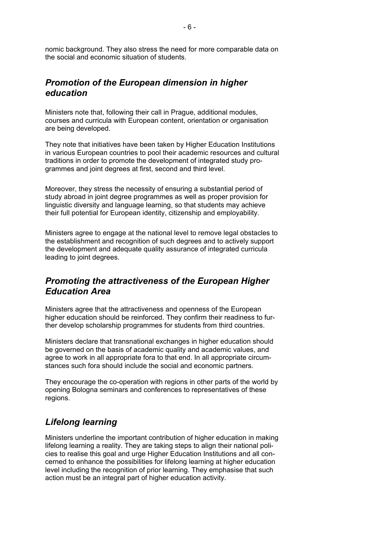nomic background. They also stress the need for more comparable data on the social and economic situation of students.

## *Promotion of the European dimension in higher education*

Ministers note that, following their call in Prague, additional modules, courses and curricula with European content, orientation or organisation are being developed.

They note that initiatives have been taken by Higher Education Institutions in various European countries to pool their academic resources and cultural traditions in order to promote the development of integrated study programmes and joint degrees at first, second and third level.

Moreover, they stress the necessity of ensuring a substantial period of study abroad in joint degree programmes as well as proper provision for linguistic diversity and language learning, so that students may achieve their full potential for European identity, citizenship and employability.

Ministers agree to engage at the national level to remove legal obstacles to the establishment and recognition of such degrees and to actively support the development and adequate quality assurance of integrated curricula leading to joint degrees.

### *Promoting the attractiveness of the European Higher Education Area*

Ministers agree that the attractiveness and openness of the European higher education should be reinforced. They confirm their readiness to further develop scholarship programmes for students from third countries.

Ministers declare that transnational exchanges in higher education should be governed on the basis of academic quality and academic values, and agree to work in all appropriate fora to that end. In all appropriate circumstances such fora should include the social and economic partners.

They encourage the co-operation with regions in other parts of the world by opening Bologna seminars and conferences to representatives of these regions.

# *Lifelong learning*

Ministers underline the important contribution of higher education in making lifelong learning a reality. They are taking steps to align their national policies to realise this goal and urge Higher Education Institutions and all concerned to enhance the possibilities for lifelong learning at higher education level including the recognition of prior learning. They emphasise that such action must be an integral part of higher education activity.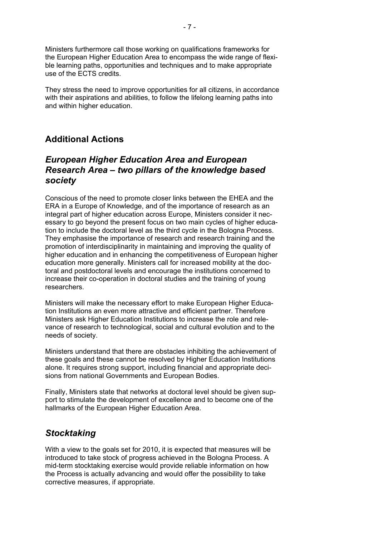Ministers furthermore call those working on qualifications frameworks for the European Higher Education Area to encompass the wide range of flexible learning paths, opportunities and techniques and to make appropriate use of the ECTS credits.

They stress the need to improve opportunities for all citizens, in accordance with their aspirations and abilities, to follow the lifelong learning paths into and within higher education.

## **Additional Actions**

### *European Higher Education Area and European Research Area – two pillars of the knowledge based society*

Conscious of the need to promote closer links between the EHEA and the ERA in a Europe of Knowledge, and of the importance of research as an integral part of higher education across Europe, Ministers consider it necessary to go beyond the present focus on two main cycles of higher education to include the doctoral level as the third cycle in the Bologna Process. They emphasise the importance of research and research training and the promotion of interdisciplinarity in maintaining and improving the quality of higher education and in enhancing the competitiveness of European higher education more generally. Ministers call for increased mobility at the doctoral and postdoctoral levels and encourage the institutions concerned to increase their co-operation in doctoral studies and the training of young researchers.

Ministers will make the necessary effort to make European Higher Education Institutions an even more attractive and efficient partner. Therefore Ministers ask Higher Education Institutions to increase the role and relevance of research to technological, social and cultural evolution and to the needs of society.

Ministers understand that there are obstacles inhibiting the achievement of these goals and these cannot be resolved by Higher Education Institutions alone. It requires strong support, including financial and appropriate decisions from national Governments and European Bodies.

Finally, Ministers state that networks at doctoral level should be given support to stimulate the development of excellence and to become one of the hallmarks of the European Higher Education Area.

## *Stocktaking*

With a view to the goals set for 2010, it is expected that measures will be introduced to take stock of progress achieved in the Bologna Process. A mid-term stocktaking exercise would provide reliable information on how the Process is actually advancing and would offer the possibility to take corrective measures, if appropriate.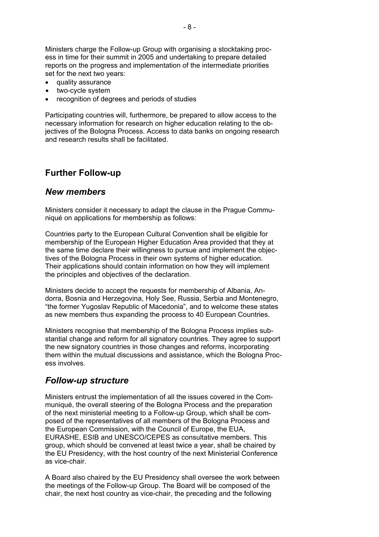Ministers charge the Follow-up Group with organising a stocktaking process in time for their summit in 2005 and undertaking to prepare detailed reports on the progress and implementation of the intermediate priorities set for the next two years:

- quality assurance
- two-cycle system
- recognition of degrees and periods of studies

Participating countries will, furthermore, be prepared to allow access to the necessary information for research on higher education relating to the objectives of the Bologna Process. Access to data banks on ongoing research and research results shall be facilitated.

#### **Further Follow-up**

#### *New members*

Ministers consider it necessary to adapt the clause in the Prague Communiqué on applications for membership as follows:

Countries party to the European Cultural Convention shall be eligible for membership of the European Higher Education Area provided that they at the same time declare their willingness to pursue and implement the objectives of the Bologna Process in their own systems of higher education. Their applications should contain information on how they will implement the principles and objectives of the declaration.

Ministers decide to accept the requests for membership of Albania, Andorra, Bosnia and Herzegovina, Holy See, Russia, Serbia and Montenegro, "the former Yugoslav Republic of Macedonia", and to welcome these states as new members thus expanding the process to 40 European Countries.

Ministers recognise that membership of the Bologna Process implies substantial change and reform for all signatory countries. They agree to support the new signatory countries in those changes and reforms, incorporating them within the mutual discussions and assistance, which the Bologna Process involves.

#### *Follow-up structure*

Ministers entrust the implementation of all the issues covered in the Communiqué, the overall steering of the Bologna Process and the preparation of the next ministerial meeting to a Follow-up Group, which shall be composed of the representatives of all members of the Bologna Process and the European Commission, with the Council of Europe, the EUA, EURASHE, ESIB and UNESCO/CEPES as consultative members. This group, which should be convened at least twice a year, shall be chaired by the EU Presidency, with the host country of the next Ministerial Conference as vice-chair.

A Board also chaired by the EU Presidency shall oversee the work between the meetings of the Follow-up Group. The Board will be composed of the chair, the next host country as vice-chair, the preceding and the following